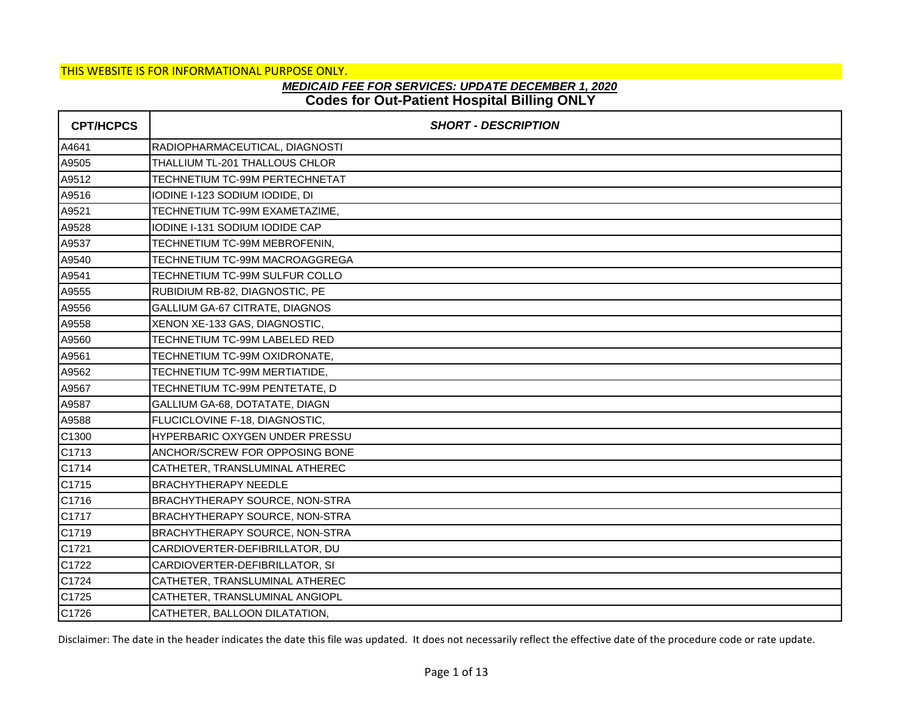## **Codes for Out-Patient Hospital Billing ONLY** *MEDICAID FEE FOR SERVICES: UPDATE DECEMBER 1, 2020*

| <b>CPT/HCPCS</b> | <b>SHORT - DESCRIPTION</b>            |
|------------------|---------------------------------------|
| A4641            | RADIOPHARMACEUTICAL, DIAGNOSTI        |
| A9505            | THALLIUM TL-201 THALLOUS CHLOR        |
| A9512            | TECHNETIUM TC-99M PERTECHNETAT        |
| A9516            | IODINE I-123 SODIUM IODIDE, DI        |
| A9521            | TECHNETIUM TC-99M EXAMETAZIME,        |
| A9528            | IODINE I-131 SODIUM IODIDE CAP        |
| A9537            | TECHNETIUM TC-99M MEBROFENIN,         |
| A9540            | TECHNETIUM TC-99M MACROAGGREGA        |
| A9541            | TECHNETIUM TC-99M SULFUR COLLO        |
| A9555            | RUBIDIUM RB-82, DIAGNOSTIC, PE        |
| A9556            | GALLIUM GA-67 CITRATE, DIAGNOS        |
| A9558            | XENON XE-133 GAS, DIAGNOSTIC,         |
| A9560            | TECHNETIUM TC-99M LABELED RED         |
| A9561            | TECHNETIUM TC-99M OXIDRONATE,         |
| A9562            | TECHNETIUM TC-99M MERTIATIDE,         |
| A9567            | TECHNETIUM TC-99M PENTETATE, D        |
| A9587            | GALLIUM GA-68, DOTATATE, DIAGN        |
| A9588            | FLUCICLOVINE F-18, DIAGNOSTIC,        |
| C1300            | HYPERBARIC OXYGEN UNDER PRESSU        |
| C1713            | ANCHOR/SCREW FOR OPPOSING BONE        |
| C1714            | CATHETER, TRANSLUMINAL ATHEREC        |
| C1715            | <b>BRACHYTHERAPY NEEDLE</b>           |
| C1716            | <b>BRACHYTHERAPY SOURCE, NON-STRA</b> |
| C1717            | BRACHYTHERAPY SOURCE, NON-STRA        |
| C1719            | BRACHYTHERAPY SOURCE, NON-STRA        |
| C1721            | CARDIOVERTER-DEFIBRILLATOR, DU        |
| C1722            | CARDIOVERTER-DEFIBRILLATOR, SI        |
| C1724            | CATHETER, TRANSLUMINAL ATHEREC        |
| C1725            | CATHETER, TRANSLUMINAL ANGIOPL        |
| C1726            | CATHETER, BALLOON DILATATION,         |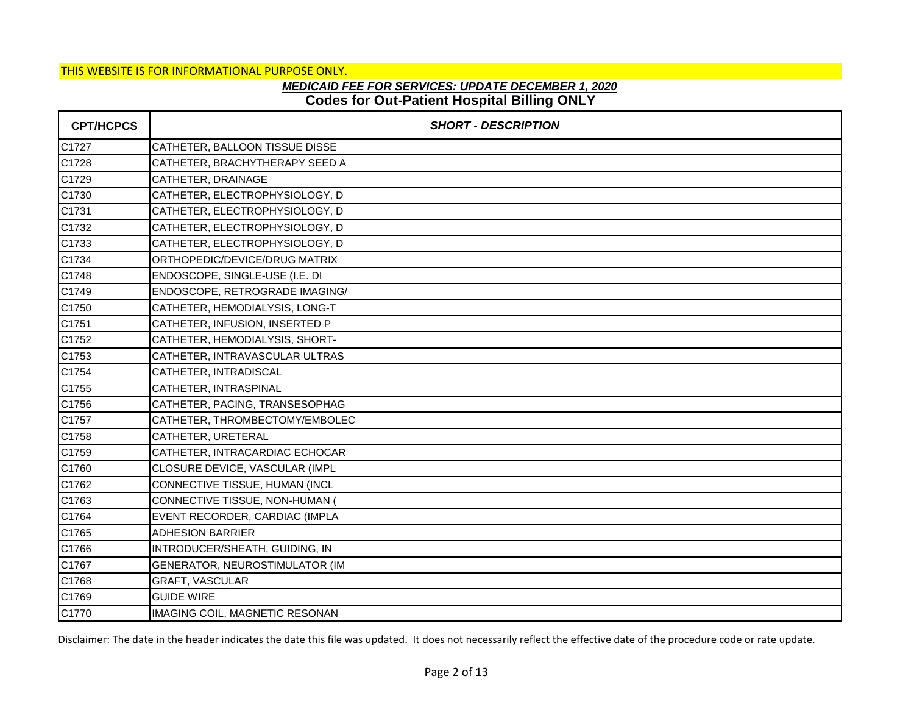# **Codes for Out-Patient Hospital Billing ONLY** *MEDICAID FEE FOR SERVICES: UPDATE DECEMBER 1, 2020*

| <b>CPT/HCPCS</b> | <b>SHORT - DESCRIPTION</b>     |
|------------------|--------------------------------|
| C1727            | CATHETER, BALLOON TISSUE DISSE |
| C1728            | CATHETER, BRACHYTHERAPY SEED A |
| C1729            | CATHETER, DRAINAGE             |
| C1730            | CATHETER, ELECTROPHYSIOLOGY, D |
| C1731            | CATHETER, ELECTROPHYSIOLOGY, D |
| C1732            | CATHETER, ELECTROPHYSIOLOGY, D |
| C1733            | CATHETER, ELECTROPHYSIOLOGY, D |
| C1734            | ORTHOPEDIC/DEVICE/DRUG MATRIX  |
| C1748            | ENDOSCOPE, SINGLE-USE (I.E. DI |
| C1749            | ENDOSCOPE, RETROGRADE IMAGING/ |
| C1750            | CATHETER, HEMODIALYSIS, LONG-T |
| C1751            | CATHETER, INFUSION, INSERTED P |
| C1752            | CATHETER, HEMODIALYSIS, SHORT- |
| C1753            | CATHETER, INTRAVASCULAR ULTRAS |
| C1754            | CATHETER, INTRADISCAL          |
| C1755            | CATHETER, INTRASPINAL          |
| C1756            | CATHETER, PACING, TRANSESOPHAG |
| C1757            | CATHETER, THROMBECTOMY/EMBOLEC |
| C1758            | CATHETER, URETERAL             |
| C1759            | CATHETER, INTRACARDIAC ECHOCAR |
| C1760            | CLOSURE DEVICE, VASCULAR (IMPL |
| C1762            | CONNECTIVE TISSUE, HUMAN (INCL |
| C1763            | CONNECTIVE TISSUE, NON-HUMAN ( |
| C1764            | EVENT RECORDER, CARDIAC (IMPLA |
| C1765            | <b>ADHESION BARRIER</b>        |
| C1766            | INTRODUCER/SHEATH, GUIDING, IN |
| C1767            | GENERATOR, NEUROSTIMULATOR (IM |
| C1768            | GRAFT, VASCULAR                |
| C1769            | <b>GUIDE WIRE</b>              |
| C1770            | IMAGING COIL, MAGNETIC RESONAN |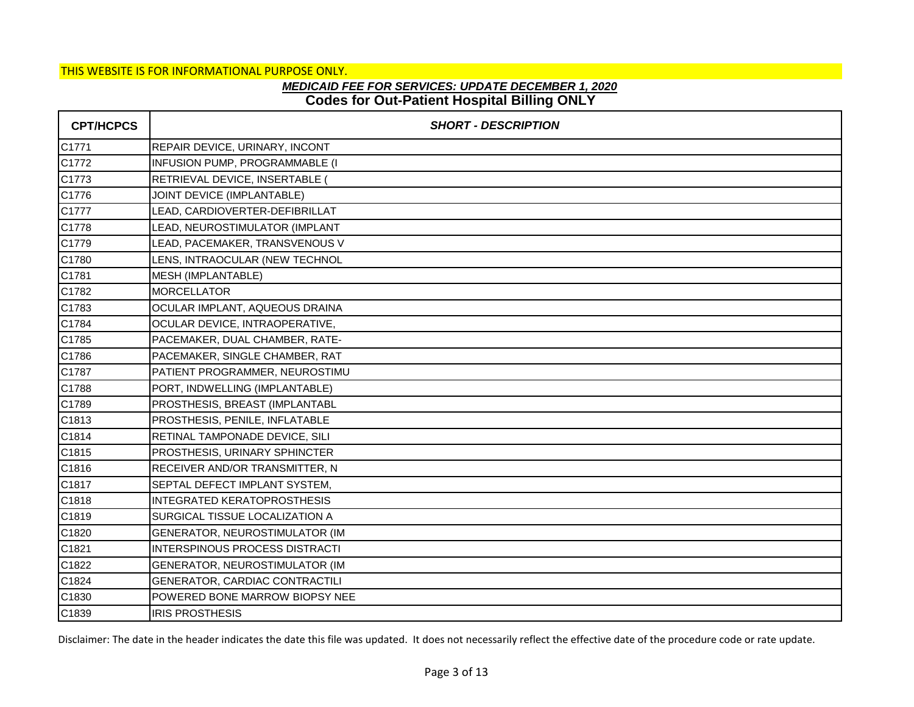# **Codes for Out-Patient Hospital Billing ONLY** *MEDICAID FEE FOR SERVICES: UPDATE DECEMBER 1, 2020*

| <b>CPT/HCPCS</b> | <b>SHORT - DESCRIPTION</b>         |
|------------------|------------------------------------|
| C1771            | REPAIR DEVICE, URINARY, INCONT     |
| C1772            | INFUSION PUMP, PROGRAMMABLE (I     |
| C1773            | RETRIEVAL DEVICE, INSERTABLE (     |
| C1776            | JOINT DEVICE (IMPLANTABLE)         |
| C1777            | LEAD, CARDIOVERTER-DEFIBRILLAT     |
| C1778            | LEAD, NEUROSTIMULATOR (IMPLANT     |
| C1779            | LEAD, PACEMAKER, TRANSVENOUS V     |
| C1780            | LENS, INTRAOCULAR (NEW TECHNOL     |
| C1781            | MESH (IMPLANTABLE)                 |
| C1782            | <b>MORCELLATOR</b>                 |
| C1783            | OCULAR IMPLANT, AQUEOUS DRAINA     |
| C1784            | OCULAR DEVICE, INTRAOPERATIVE,     |
| C1785            | PACEMAKER, DUAL CHAMBER, RATE-     |
| C1786            | PACEMAKER, SINGLE CHAMBER, RAT     |
| C1787            | PATIENT PROGRAMMER, NEUROSTIMU     |
| C1788            | PORT, INDWELLING (IMPLANTABLE)     |
| C1789            | PROSTHESIS, BREAST (IMPLANTABL     |
| C1813            | PROSTHESIS, PENILE, INFLATABLE     |
| C1814            | RETINAL TAMPONADE DEVICE, SILI     |
| C1815            | PROSTHESIS, URINARY SPHINCTER      |
| C1816            | RECEIVER AND/OR TRANSMITTER, N     |
| C1817            | SEPTAL DEFECT IMPLANT SYSTEM,      |
| C1818            | <b>INTEGRATED KERATOPROSTHESIS</b> |
| C1819            | SURGICAL TISSUE LOCALIZATION A     |
| C1820            | GENERATOR, NEUROSTIMULATOR (IM     |
| C1821            | INTERSPINOUS PROCESS DISTRACTI     |
| C1822            | GENERATOR, NEUROSTIMULATOR (IM     |
| C1824            | GENERATOR, CARDIAC CONTRACTILI     |
| C1830            | POWERED BONE MARROW BIOPSY NEE     |
| C1839            | <b>IRIS PROSTHESIS</b>             |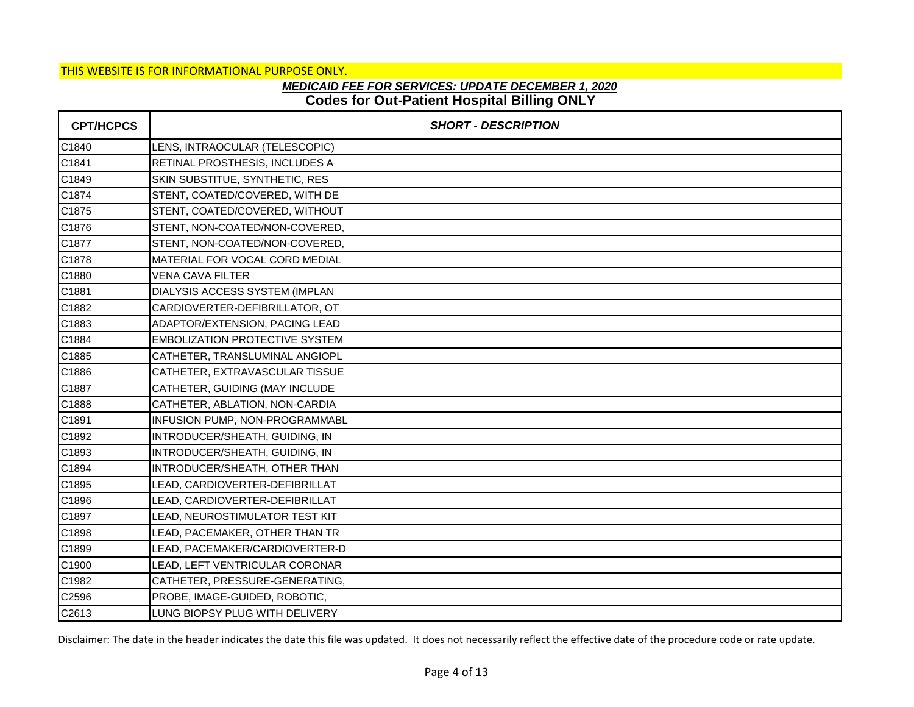## **Codes for Out-Patient Hospital Billing ONLY** *MEDICAID FEE FOR SERVICES: UPDATE DECEMBER 1, 2020*

| <b>CPT/HCPCS</b> | <b>SHORT - DESCRIPTION</b>            |
|------------------|---------------------------------------|
| C1840            | LENS, INTRAOCULAR (TELESCOPIC)        |
| C1841            | RETINAL PROSTHESIS, INCLUDES A        |
| C1849            | SKIN SUBSTITUE, SYNTHETIC, RES        |
| C1874            | STENT, COATED/COVERED, WITH DE        |
| C1875            | STENT, COATED/COVERED, WITHOUT        |
| C1876            | STENT, NON-COATED/NON-COVERED,        |
| C1877            | STENT, NON-COATED/NON-COVERED,        |
| C1878            | MATERIAL FOR VOCAL CORD MEDIAL        |
| C1880            | <b>VENA CAVA FILTER</b>               |
| C1881            | DIALYSIS ACCESS SYSTEM (IMPLAN        |
| C1882            | CARDIOVERTER-DEFIBRILLATOR, OT        |
| C1883            | ADAPTOR/EXTENSION, PACING LEAD        |
| C1884            | <b>EMBOLIZATION PROTECTIVE SYSTEM</b> |
| C1885            | CATHETER, TRANSLUMINAL ANGIOPL        |
| C1886            | CATHETER, EXTRAVASCULAR TISSUE        |
| C1887            | CATHETER, GUIDING (MAY INCLUDE        |
| C1888            | CATHETER, ABLATION, NON-CARDIA        |
| C1891            | INFUSION PUMP, NON-PROGRAMMABL        |
| C1892            | INTRODUCER/SHEATH, GUIDING, IN        |
| C1893            | INTRODUCER/SHEATH, GUIDING, IN        |
| C1894            | INTRODUCER/SHEATH, OTHER THAN         |
| C1895            | LEAD, CARDIOVERTER-DEFIBRILLAT        |
| C1896            | LEAD, CARDIOVERTER-DEFIBRILLAT        |
| C1897            | LEAD, NEUROSTIMULATOR TEST KIT        |
| C1898            | LEAD, PACEMAKER, OTHER THAN TR        |
| C1899            | LEAD, PACEMAKER/CARDIOVERTER-D        |
| C1900            | LEAD, LEFT VENTRICULAR CORONAR        |
| C1982            | CATHETER, PRESSURE-GENERATING,        |
| C2596            | PROBE, IMAGE-GUIDED, ROBOTIC,         |
| C2613            | LUNG BIOPSY PLUG WITH DELIVERY        |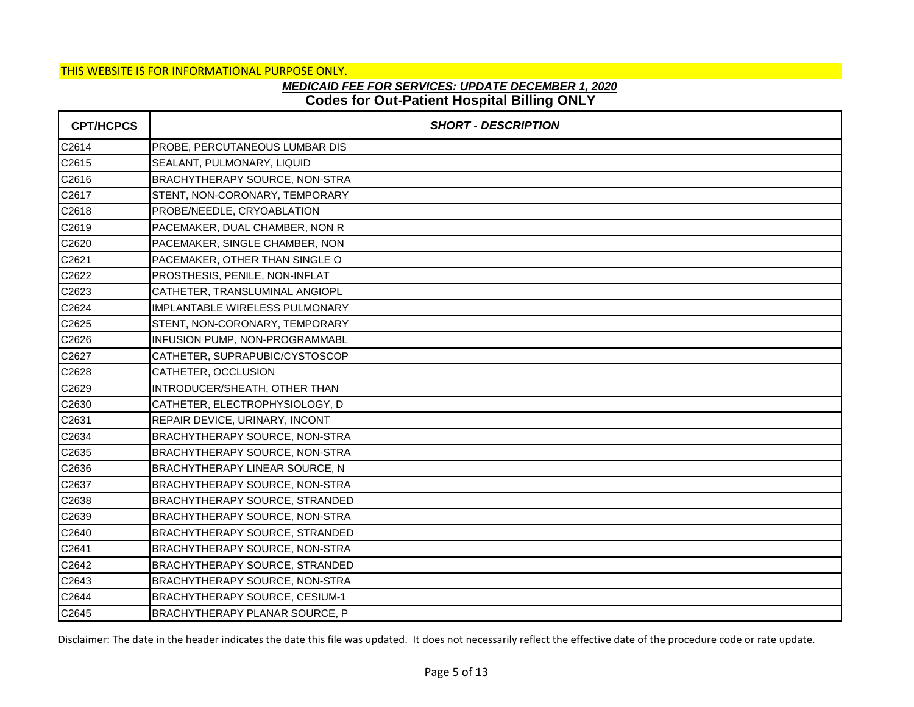## **Codes for Out-Patient Hospital Billing ONLY** *MEDICAID FEE FOR SERVICES: UPDATE DECEMBER 1, 2020*

| <b>CPT/HCPCS</b> | <b>SHORT - DESCRIPTION</b>            |
|------------------|---------------------------------------|
| C2614            | PROBE, PERCUTANEOUS LUMBAR DIS        |
| C2615            | SEALANT, PULMONARY, LIQUID            |
| C2616            | BRACHYTHERAPY SOURCE, NON-STRA        |
| C2617            | STENT, NON-CORONARY, TEMPORARY        |
| C2618            | PROBE/NEEDLE, CRYOABLATION            |
| C2619            | PACEMAKER, DUAL CHAMBER, NON R        |
| C2620            | PACEMAKER, SINGLE CHAMBER, NON        |
| C2621            | PACEMAKER, OTHER THAN SINGLE O        |
| C2622            | PROSTHESIS, PENILE, NON-INFLAT        |
| C2623            | CATHETER, TRANSLUMINAL ANGIOPL        |
| C2624            | IMPLANTABLE WIRELESS PULMONARY        |
| C2625            | STENT, NON-CORONARY, TEMPORARY        |
| C2626            | INFUSION PUMP, NON-PROGRAMMABL        |
| C2627            | CATHETER, SUPRAPUBIC/CYSTOSCOP        |
| C2628            | CATHETER, OCCLUSION                   |
| C2629            | INTRODUCER/SHEATH, OTHER THAN         |
| C2630            | CATHETER, ELECTROPHYSIOLOGY, D        |
| C2631            | REPAIR DEVICE, URINARY, INCONT        |
| C2634            | BRACHYTHERAPY SOURCE, NON-STRA        |
| C2635            | BRACHYTHERAPY SOURCE, NON-STRA        |
| C2636            | BRACHYTHERAPY LINEAR SOURCE, N        |
| C2637            | BRACHYTHERAPY SOURCE, NON-STRA        |
| C2638            | BRACHYTHERAPY SOURCE, STRANDED        |
| C2639            | BRACHYTHERAPY SOURCE, NON-STRA        |
| C2640            | <b>BRACHYTHERAPY SOURCE, STRANDED</b> |
| C2641            | BRACHYTHERAPY SOURCE, NON-STRA        |
| C2642            | BRACHYTHERAPY SOURCE, STRANDED        |
| C2643            | <b>BRACHYTHERAPY SOURCE, NON-STRA</b> |
| C2644            | <b>BRACHYTHERAPY SOURCE, CESIUM-1</b> |
| C2645            | BRACHYTHERAPY PLANAR SOURCE, P        |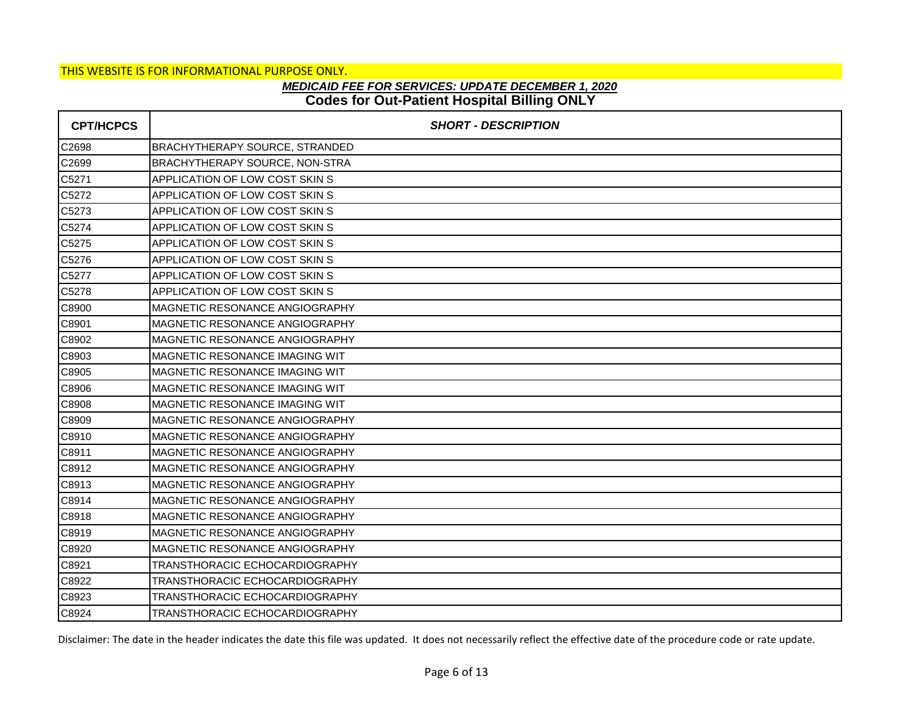# **Codes for Out-Patient Hospital Billing ONLY** *MEDICAID FEE FOR SERVICES: UPDATE DECEMBER 1, 2020*

| <b>CPT/HCPCS</b> | <b>SHORT - DESCRIPTION</b>            |
|------------------|---------------------------------------|
| C2698            | <b>BRACHYTHERAPY SOURCE, STRANDED</b> |
| C2699            | BRACHYTHERAPY SOURCE, NON-STRA        |
| C5271            | APPLICATION OF LOW COST SKIN S        |
| C5272            | APPLICATION OF LOW COST SKIN S        |
| C5273            | APPLICATION OF LOW COST SKIN S        |
| C5274            | APPLICATION OF LOW COST SKIN S        |
| C5275            | APPLICATION OF LOW COST SKIN S        |
| C5276            | APPLICATION OF LOW COST SKIN S        |
| C5277            | <b>APPLICATION OF LOW COST SKIN S</b> |
| C5278            | <b>APPLICATION OF LOW COST SKIN S</b> |
| C8900            | MAGNETIC RESONANCE ANGIOGRAPHY        |
| C8901            | MAGNETIC RESONANCE ANGIOGRAPHY        |
| C8902            | MAGNETIC RESONANCE ANGIOGRAPHY        |
| C8903            | MAGNETIC RESONANCE IMAGING WIT        |
| C8905            | MAGNETIC RESONANCE IMAGING WIT        |
| C8906            | MAGNETIC RESONANCE IMAGING WIT        |
| C8908            | <b>MAGNETIC RESONANCE IMAGING WIT</b> |
| C8909            | <b>MAGNETIC RESONANCE ANGIOGRAPHY</b> |
| C8910            | MAGNETIC RESONANCE ANGIOGRAPHY        |
| C8911            | MAGNETIC RESONANCE ANGIOGRAPHY        |
| C8912            | IMAGNETIC RESONANCE ANGIOGRAPHY       |
| C8913            | MAGNETIC RESONANCE ANGIOGRAPHY        |
| C8914            | MAGNETIC RESONANCE ANGIOGRAPHY        |
| C8918            | <b>MAGNETIC RESONANCE ANGIOGRAPHY</b> |
| C8919            | MAGNETIC RESONANCE ANGIOGRAPHY        |
| C8920            | <b>MAGNETIC RESONANCE ANGIOGRAPHY</b> |
| C8921            | TRANSTHORACIC ECHOCARDIOGRAPHY        |
| C8922            | TRANSTHORACIC ECHOCARDIOGRAPHY        |
| C8923            | TRANSTHORACIC ECHOCARDIOGRAPHY        |
| C8924            | TRANSTHORACIC ECHOCARDIOGRAPHY        |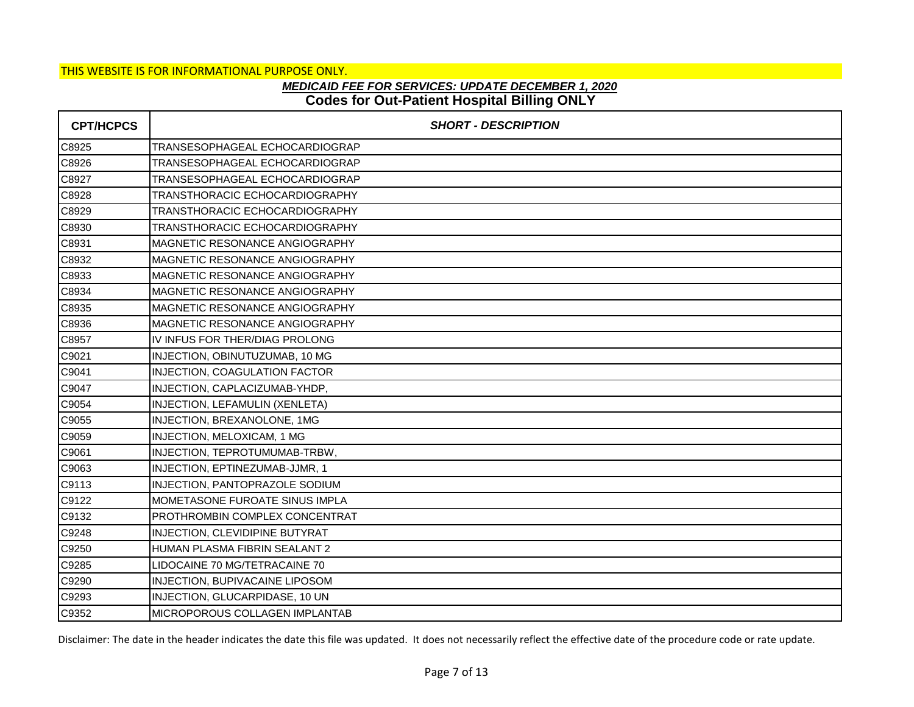# **Codes for Out-Patient Hospital Billing ONLY** *MEDICAID FEE FOR SERVICES: UPDATE DECEMBER 1, 2020*

| <b>CPT/HCPCS</b> | <b>SHORT - DESCRIPTION</b>            |
|------------------|---------------------------------------|
| C8925            | TRANSESOPHAGEAL ECHOCARDIOGRAP        |
| C8926            | TRANSESOPHAGEAL ECHOCARDIOGRAP        |
| C8927            | TRANSESOPHAGEAL ECHOCARDIOGRAP        |
| C8928            | TRANSTHORACIC ECHOCARDIOGRAPHY        |
| C8929            | TRANSTHORACIC ECHOCARDIOGRAPHY        |
| C8930            | TRANSTHORACIC ECHOCARDIOGRAPHY        |
| C8931            | MAGNETIC RESONANCE ANGIOGRAPHY        |
| C8932            | MAGNETIC RESONANCE ANGIOGRAPHY        |
| C8933            | MAGNETIC RESONANCE ANGIOGRAPHY        |
| C8934            | <b>MAGNETIC RESONANCE ANGIOGRAPHY</b> |
| C8935            | MAGNETIC RESONANCE ANGIOGRAPHY        |
| C8936            | <b>MAGNETIC RESONANCE ANGIOGRAPHY</b> |
| C8957            | IV INFUS FOR THER/DIAG PROLONG        |
| C9021            | INJECTION, OBINUTUZUMAB, 10 MG        |
| C9041            | INJECTION, COAGULATION FACTOR         |
| C9047            | INJECTION, CAPLACIZUMAB-YHDP,         |
| C9054            | INJECTION, LEFAMULIN (XENLETA)        |
| C9055            | INJECTION, BREXANOLONE, 1MG           |
| C9059            | INJECTION, MELOXICAM, 1 MG            |
| C9061            | INJECTION, TEPROTUMUMAB-TRBW,         |
| C9063            | INJECTION, EPTINEZUMAB-JJMR, 1        |
| C9113            | INJECTION, PANTOPRAZOLE SODIUM        |
| C9122            | MOMETASONE FUROATE SINUS IMPLA        |
| C9132            | PROTHROMBIN COMPLEX CONCENTRAT        |
| C9248            | INJECTION, CLEVIDIPINE BUTYRAT        |
| C9250            | HUMAN PLASMA FIBRIN SEALANT 2         |
| C9285            | LIDOCAINE 70 MG/TETRACAINE 70         |
| C9290            | INJECTION, BUPIVACAINE LIPOSOM        |
| C9293            | INJECTION, GLUCARPIDASE, 10 UN        |
| C9352            | <b>MICROPOROUS COLLAGEN IMPLANTAB</b> |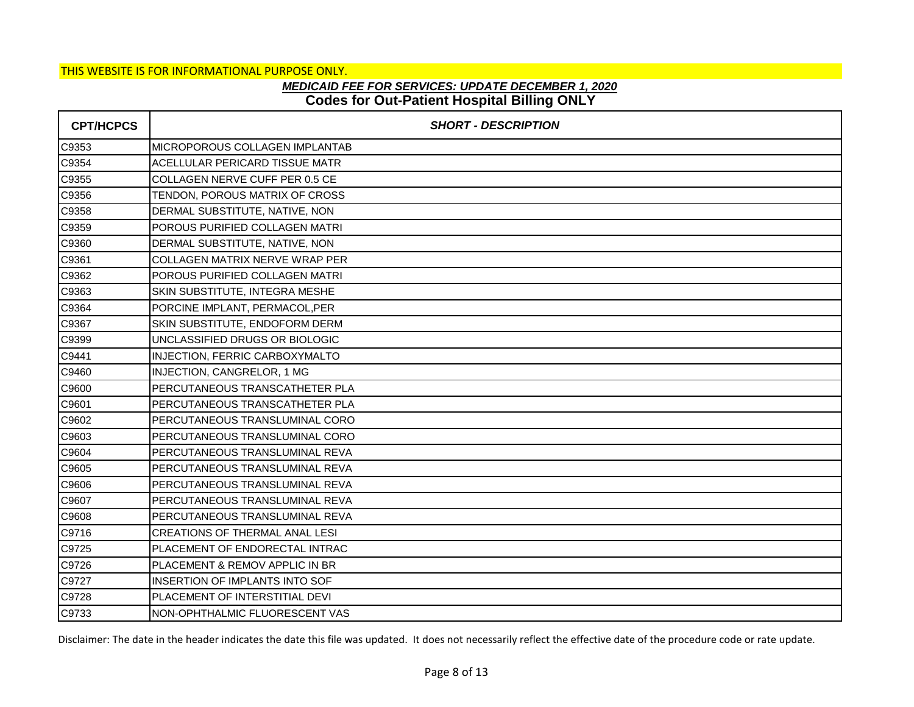# **Codes for Out-Patient Hospital Billing ONLY** *MEDICAID FEE FOR SERVICES: UPDATE DECEMBER 1, 2020*

| <b>CPT/HCPCS</b> | <b>SHORT - DESCRIPTION</b>            |
|------------------|---------------------------------------|
| C9353            | MICROPOROUS COLLAGEN IMPLANTAB        |
| C9354            | ACELLULAR PERICARD TISSUE MATR        |
| C9355            | COLLAGEN NERVE CUFF PER 0.5 CE        |
| C9356            | TENDON, POROUS MATRIX OF CROSS        |
| C9358            | DERMAL SUBSTITUTE, NATIVE, NON        |
| C9359            | POROUS PURIFIED COLLAGEN MATRI        |
| C9360            | DERMAL SUBSTITUTE, NATIVE, NON        |
| C9361            | COLLAGEN MATRIX NERVE WRAP PER        |
| C9362            | POROUS PURIFIED COLLAGEN MATRI        |
| C9363            | SKIN SUBSTITUTE, INTEGRA MESHE        |
| C9364            | PORCINE IMPLANT, PERMACOL, PER        |
| C9367            | SKIN SUBSTITUTE, ENDOFORM DERM        |
| C9399            | UNCLASSIFIED DRUGS OR BIOLOGIC        |
| C9441            | INJECTION, FERRIC CARBOXYMALTO        |
| C9460            | INJECTION, CANGRELOR, 1 MG            |
| C9600            | PERCUTANEOUS TRANSCATHETER PLA        |
| C9601            | PERCUTANEOUS TRANSCATHETER PLA        |
| C9602            | PERCUTANEOUS TRANSLUMINAL CORO        |
| C9603            | PERCUTANEOUS TRANSLUMINAL CORO        |
| C9604            | PERCUTANEOUS TRANSLUMINAL REVA        |
| C9605            | PERCUTANEOUS TRANSLUMINAL REVA        |
| C9606            | <b>PERCUTANEOUS TRANSLUMINAL REVA</b> |
| C9607            | PERCUTANEOUS TRANSLUMINAL REVA        |
| C9608            | PERCUTANEOUS TRANSLUMINAL REVA        |
| C9716            | <b>CREATIONS OF THERMAL ANAL LESI</b> |
| C9725            | PLACEMENT OF ENDORECTAL INTRAC        |
| C9726            | PLACEMENT & REMOV APPLIC IN BR        |
| C9727            | <b>INSERTION OF IMPLANTS INTO SOF</b> |
| C9728            | PLACEMENT OF INTERSTITIAL DEVI        |
| C9733            | NON-OPHTHALMIC FLUORESCENT VAS        |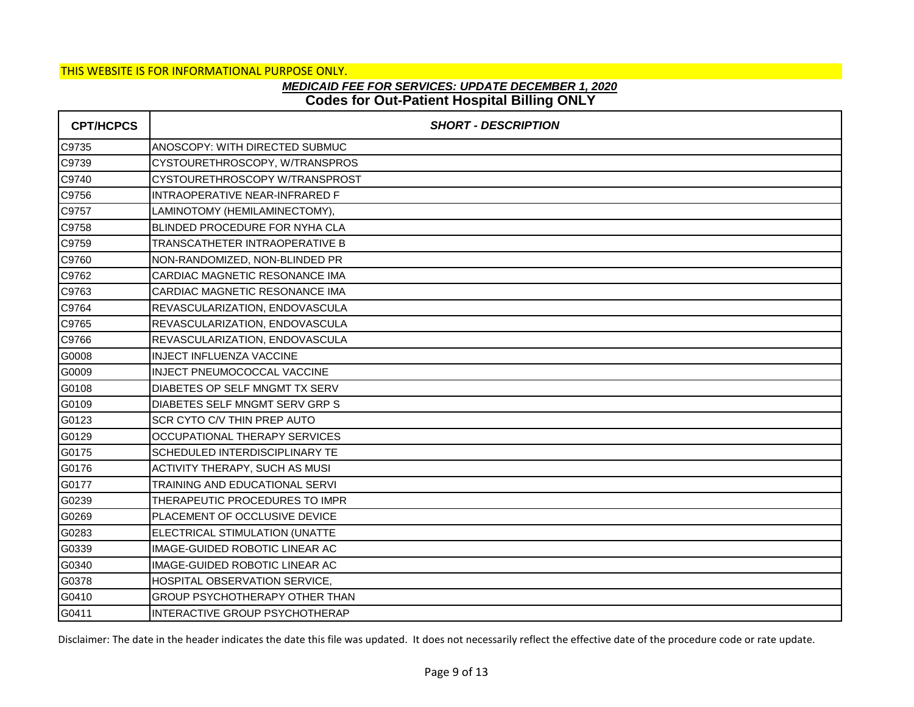# **Codes for Out-Patient Hospital Billing ONLY** *MEDICAID FEE FOR SERVICES: UPDATE DECEMBER 1, 2020*

| <b>CPT/HCPCS</b> | <b>SHORT - DESCRIPTION</b>            |
|------------------|---------------------------------------|
| C9735            | ANOSCOPY: WITH DIRECTED SUBMUC        |
| C9739            | CYSTOURETHROSCOPY, W/TRANSPROS        |
| C9740            | CYSTOURETHROSCOPY W/TRANSPROST        |
| C9756            | INTRAOPERATIVE NEAR-INFRARED F        |
| C9757            | LAMINOTOMY (HEMILAMINECTOMY),         |
| C9758            | BLINDED PROCEDURE FOR NYHA CLA        |
| C9759            | TRANSCATHETER INTRAOPERATIVE B        |
| C9760            | NON-RANDOMIZED, NON-BLINDED PR        |
| C9762            | CARDIAC MAGNETIC RESONANCE IMA        |
| C9763            | CARDIAC MAGNETIC RESONANCE IMA        |
| C9764            | REVASCULARIZATION, ENDOVASCULA        |
| C9765            | REVASCULARIZATION, ENDOVASCULA        |
| C9766            | REVASCULARIZATION, ENDOVASCULA        |
| G0008            | <b>INJECT INFLUENZA VACCINE</b>       |
| G0009            | INJECT PNEUMOCOCCAL VACCINE           |
| G0108            | DIABETES OP SELF MNGMT TX SERV        |
| G0109            | DIABETES SELF MNGMT SERV GRP S        |
| G0123            | <b>SCR CYTO C/V THIN PREP AUTO</b>    |
| G0129            | <b>OCCUPATIONAL THERAPY SERVICES</b>  |
| G0175            | SCHEDULED INTERDISCIPLINARY TE        |
| G0176            | <b>ACTIVITY THERAPY, SUCH AS MUSI</b> |
| G0177            | TRAINING AND EDUCATIONAL SERVI        |
| G0239            | THERAPEUTIC PROCEDURES TO IMPR        |
| G0269            | PLACEMENT OF OCCLUSIVE DEVICE         |
| G0283            | ELECTRICAL STIMULATION (UNATTE        |
| G0339            | IMAGE-GUIDED ROBOTIC LINEAR AC        |
| G0340            | IMAGE-GUIDED ROBOTIC LINEAR AC        |
| G0378            | HOSPITAL OBSERVATION SERVICE,         |
| G0410            | <b>GROUP PSYCHOTHERAPY OTHER THAN</b> |
| G0411            | INTERACTIVE GROUP PSYCHOTHERAP        |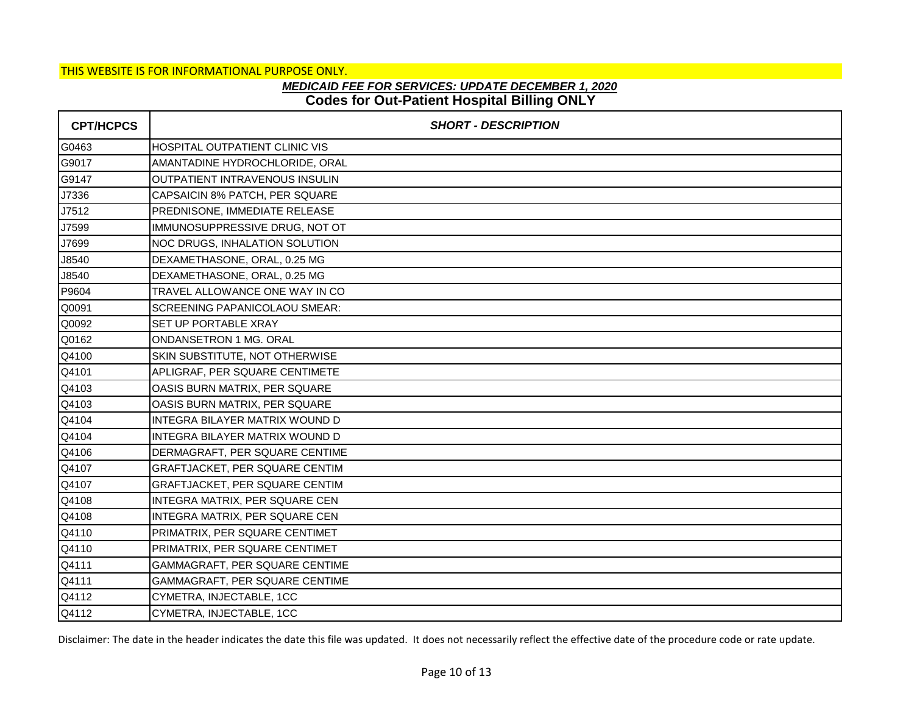## **Codes for Out-Patient Hospital Billing ONLY** *MEDICAID FEE FOR SERVICES: UPDATE DECEMBER 1, 2020*

| <b>CPT/HCPCS</b> | <b>SHORT - DESCRIPTION</b>     |
|------------------|--------------------------------|
| G0463            | HOSPITAL OUTPATIENT CLINIC VIS |
| G9017            | AMANTADINE HYDROCHLORIDE, ORAL |
| G9147            | OUTPATIENT INTRAVENOUS INSULIN |
| J7336            | CAPSAICIN 8% PATCH, PER SQUARE |
| J7512            | PREDNISONE, IMMEDIATE RELEASE  |
| J7599            | IMMUNOSUPPRESSIVE DRUG, NOT OT |
| J7699            | NOC DRUGS, INHALATION SOLUTION |
| J8540            | DEXAMETHASONE, ORAL, 0.25 MG   |
| J8540            | DEXAMETHASONE, ORAL, 0.25 MG   |
| P9604            | TRAVEL ALLOWANCE ONE WAY IN CO |
| Q0091            | SCREENING PAPANICOLAOU SMEAR:  |
| Q0092            | SET UP PORTABLE XRAY           |
| Q0162            | ONDANSETRON 1 MG. ORAL         |
| Q4100            | SKIN SUBSTITUTE, NOT OTHERWISE |
| Q4101            | APLIGRAF, PER SQUARE CENTIMETE |
| Q4103            | OASIS BURN MATRIX, PER SQUARE  |
| Q4103            | OASIS BURN MATRIX, PER SQUARE  |
| Q4104            | INTEGRA BILAYER MATRIX WOUND D |
| Q4104            | INTEGRA BILAYER MATRIX WOUND D |
| Q4106            | DERMAGRAFT, PER SQUARE CENTIME |
| Q4107            | GRAFTJACKET, PER SQUARE CENTIM |
| Q4107            | GRAFTJACKET, PER SQUARE CENTIM |
| Q4108            | INTEGRA MATRIX, PER SQUARE CEN |
| Q4108            | INTEGRA MATRIX, PER SQUARE CEN |
| Q4110            | PRIMATRIX, PER SQUARE CENTIMET |
| Q4110            | PRIMATRIX, PER SQUARE CENTIMET |
| Q4111            | GAMMAGRAFT, PER SQUARE CENTIME |
| Q4111            | GAMMAGRAFT, PER SQUARE CENTIME |
| Q4112            | CYMETRA, INJECTABLE, 1CC       |
| Q4112            | CYMETRA, INJECTABLE, 1CC       |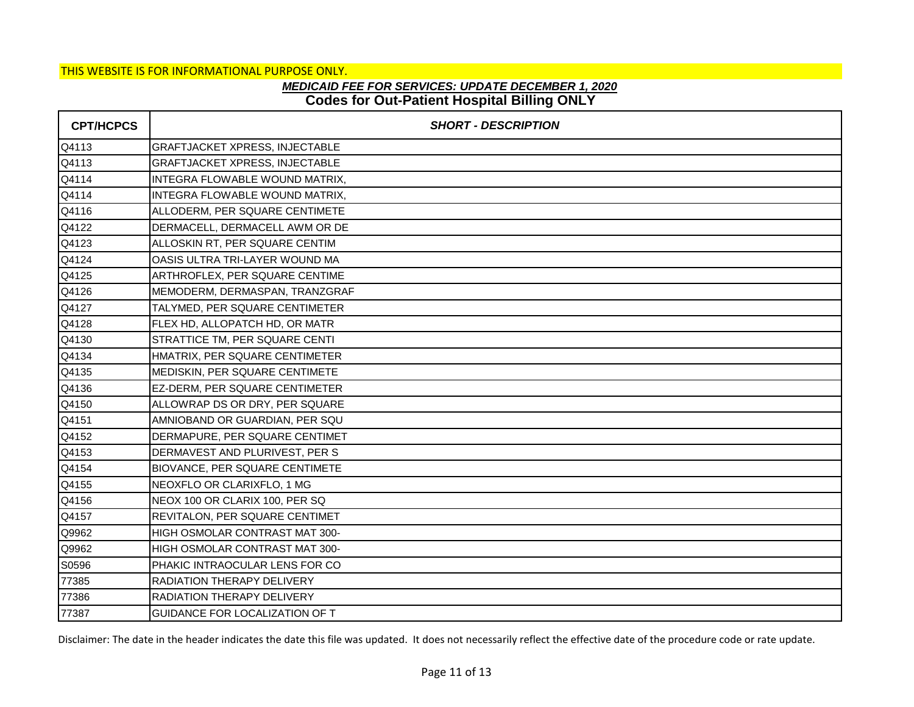## **Codes for Out-Patient Hospital Billing ONLY** *MEDICAID FEE FOR SERVICES: UPDATE DECEMBER 1, 2020*

| <b>CPT/HCPCS</b> | <b>SHORT - DESCRIPTION</b>            |
|------------------|---------------------------------------|
| Q4113            | <b>GRAFTJACKET XPRESS, INJECTABLE</b> |
| Q4113            | <b>GRAFTJACKET XPRESS, INJECTABLE</b> |
| Q4114            | INTEGRA FLOWABLE WOUND MATRIX,        |
| Q4114            | INTEGRA FLOWABLE WOUND MATRIX,        |
| Q4116            | ALLODERM, PER SQUARE CENTIMETE        |
| Q4122            | DERMACELL, DERMACELL AWM OR DE        |
| Q4123            | ALLOSKIN RT, PER SQUARE CENTIM        |
| Q4124            | OASIS ULTRA TRI-LAYER WOUND MA        |
| Q4125            | ARTHROFLEX, PER SQUARE CENTIME        |
| Q4126            | MEMODERM, DERMASPAN, TRANZGRAF        |
| Q4127            | TALYMED, PER SQUARE CENTIMETER        |
| Q4128            | FLEX HD, ALLOPATCH HD, OR MATR        |
| Q4130            | STRATTICE TM, PER SQUARE CENTI        |
| Q4134            | HMATRIX, PER SQUARE CENTIMETER        |
| Q4135            | MEDISKIN, PER SQUARE CENTIMETE        |
| Q4136            | EZ-DERM, PER SQUARE CENTIMETER        |
| Q4150            | ALLOWRAP DS OR DRY, PER SQUARE        |
| Q4151            | AMNIOBAND OR GUARDIAN, PER SQU        |
| Q4152            | DERMAPURE, PER SQUARE CENTIMET        |
| Q4153            | DERMAVEST AND PLURIVEST, PER S        |
| Q4154            | BIOVANCE, PER SQUARE CENTIMETE        |
| Q4155            | NEOXFLO OR CLARIXFLO, 1 MG            |
| Q4156            | NEOX 100 OR CLARIX 100, PER SQ        |
| Q4157            | REVITALON, PER SQUARE CENTIMET        |
| Q9962            | HIGH OSMOLAR CONTRAST MAT 300-        |
| Q9962            | HIGH OSMOLAR CONTRAST MAT 300-        |
| S0596            | PHAKIC INTRAOCULAR LENS FOR CO        |
| 77385            | <b>RADIATION THERAPY DELIVERY</b>     |
| 77386            | RADIATION THERAPY DELIVERY            |
| 77387            | GUIDANCE FOR LOCALIZATION OF T        |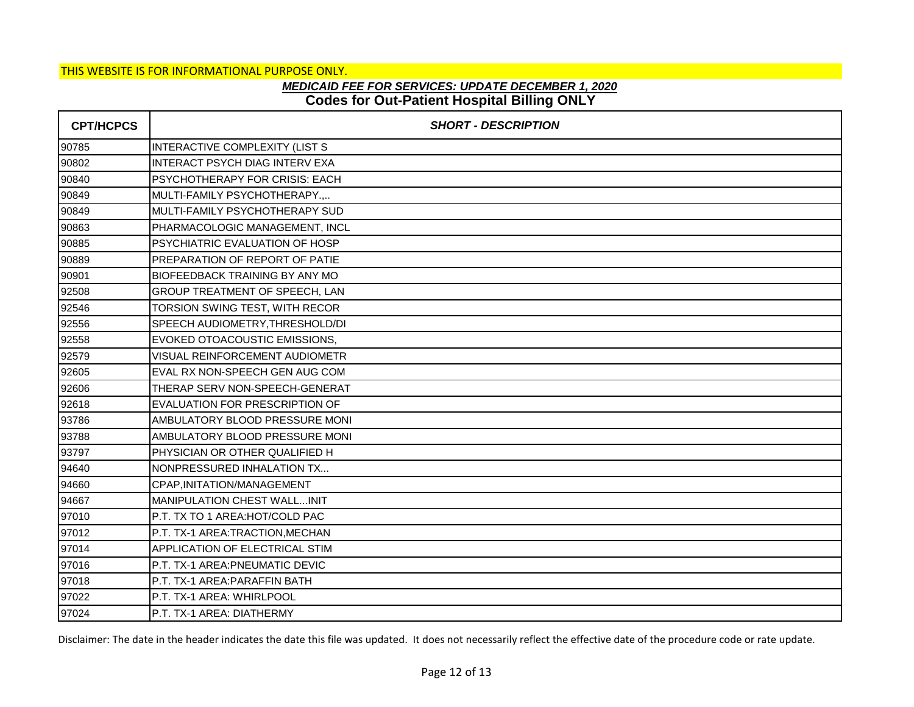## **Codes for Out-Patient Hospital Billing ONLY** *MEDICAID FEE FOR SERVICES: UPDATE DECEMBER 1, 2020*

| <b>CPT/HCPCS</b> | <b>SHORT - DESCRIPTION</b>            |
|------------------|---------------------------------------|
| 90785            | INTERACTIVE COMPLEXITY (LIST S        |
| 90802            | <b>INTERACT PSYCH DIAG INTERV EXA</b> |
| 90840            | PSYCHOTHERAPY FOR CRISIS: EACH        |
| 90849            | MULTI-FAMILY PSYCHOTHERAPY.,          |
| 90849            | MULTI-FAMILY PSYCHOTHERAPY SUD        |
| 90863            | PHARMACOLOGIC MANAGEMENT, INCL        |
| 90885            | PSYCHIATRIC EVALUATION OF HOSP        |
| 90889            | PREPARATION OF REPORT OF PATIE        |
| 90901            | <b>BIOFEEDBACK TRAINING BY ANY MO</b> |
| 92508            | GROUP TREATMENT OF SPEECH, LAN        |
| 92546            | TORSION SWING TEST, WITH RECOR        |
| 92556            | SPEECH AUDIOMETRY, THRESHOLD/DI       |
| 92558            | EVOKED OTOACOUSTIC EMISSIONS,         |
| 92579            | VISUAL REINFORCEMENT AUDIOMETR        |
| 92605            | EVAL RX NON-SPEECH GEN AUG COM        |
| 92606            | THERAP SERV NON-SPEECH-GENERAT        |
| 92618            | EVALUATION FOR PRESCRIPTION OF        |
| 93786            | AMBULATORY BLOOD PRESSURE MONI        |
| 93788            | AMBULATORY BLOOD PRESSURE MONI        |
| 93797            | PHYSICIAN OR OTHER QUALIFIED H        |
| 94640            | NONPRESSURED INHALATION TX            |
| 94660            | CPAP, INITATION/MANAGEMENT            |
| 94667            | <b>MANIPULATION CHEST WALLINIT</b>    |
| 97010            | P.T. TX TO 1 AREA: HOT/COLD PAC       |
| 97012            | P.T. TX-1 AREA:TRACTION, MECHAN       |
| 97014            | APPLICATION OF ELECTRICAL STIM        |
| 97016            | P.T. TX-1 AREA: PNEUMATIC DEVIC       |
| 97018            | P.T. TX-1 AREA: PARAFFIN BATH         |
| 97022            | P.T. TX-1 AREA: WHIRLPOOL             |
| 97024            | P.T. TX-1 AREA: DIATHERMY             |